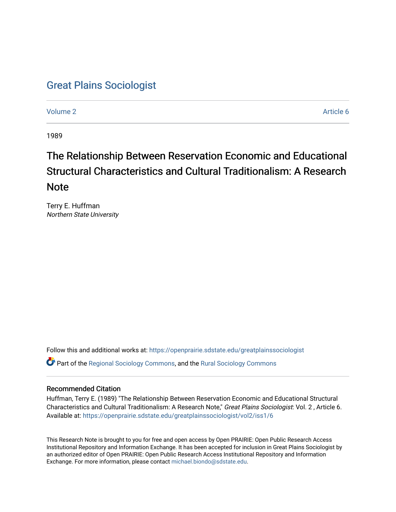## [Great Plains Sociologist](https://openprairie.sdstate.edu/greatplainssociologist)

[Volume 2](https://openprairie.sdstate.edu/greatplainssociologist/vol2) Article 6

1989

# The Relationship Between Reservation Economic and Educational Structural Characteristics and Cultural Traditionalism: A Research Note

Terry E. Huffman Northern State University

Follow this and additional works at: [https://openprairie.sdstate.edu/greatplainssociologist](https://openprairie.sdstate.edu/greatplainssociologist?utm_source=openprairie.sdstate.edu%2Fgreatplainssociologist%2Fvol2%2Fiss1%2F6&utm_medium=PDF&utm_campaign=PDFCoverPages)  Part of the [Regional Sociology Commons](http://network.bepress.com/hgg/discipline/427?utm_source=openprairie.sdstate.edu%2Fgreatplainssociologist%2Fvol2%2Fiss1%2F6&utm_medium=PDF&utm_campaign=PDFCoverPages), and the [Rural Sociology Commons](http://network.bepress.com/hgg/discipline/428?utm_source=openprairie.sdstate.edu%2Fgreatplainssociologist%2Fvol2%2Fiss1%2F6&utm_medium=PDF&utm_campaign=PDFCoverPages) 

## Recommended Citation

Huffman, Terry E. (1989) "The Relationship Between Reservation Economic and Educational Structural Characteristics and Cultural Traditionalism: A Research Note," Great Plains Sociologist: Vol. 2 , Article 6. Available at: [https://openprairie.sdstate.edu/greatplainssociologist/vol2/iss1/6](https://openprairie.sdstate.edu/greatplainssociologist/vol2/iss1/6?utm_source=openprairie.sdstate.edu%2Fgreatplainssociologist%2Fvol2%2Fiss1%2F6&utm_medium=PDF&utm_campaign=PDFCoverPages) 

This Research Note is brought to you for free and open access by Open PRAIRIE: Open Public Research Access Institutional Repository and Information Exchange. It has been accepted for inclusion in Great Plains Sociologist by an authorized editor of Open PRAIRIE: Open Public Research Access Institutional Repository and Information Exchange. For more information, please contact [michael.biondo@sdstate.edu.](mailto:michael.biondo@sdstate.edu)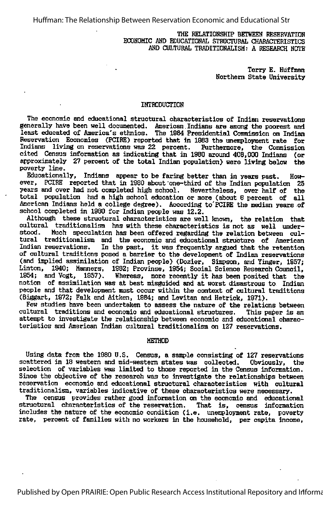Huffman: The Relationship Between Reservation Economic and Educational Str

THE RELATIONSHIP BETWEEN RESERVATION ECONOMIC AND EDUCATIONAL STRUCTURAL CHARACTERISTICS AND CULTURAL TRADITIONALISM: A RESEARCH NOTE

> Terry E. Huffman Northern State University

#### INTRODUCTION

The economic and educational structural characteristics of Indian reservations generally have been well documented. American Indians are among the poorest and least educated of America's ethnics. The 1984 Presidential Commission on Indian least educated of America's ethnics. The 1984 Presidential Commission on Indian Reservation Economies (PCIRE) reported that in 1983 the unemployment rate for Indians living on reservations was 22 percent. Furthermore, the Indians living on reservations was 22 percent. cited Census information as indicating that in 1880 around 408,000 Indians (or approximately 27 percent of the total Indian population) were living below the poverty line.

Educationally, Indians appear to be faring better than in years past. How ever, PCIRB reported that in 1880 about one-third of the Indian population 25 years and over had not conpleted high school. Nevertheless, over half of the total population had a high school education or more (about 6 percent of all American Indians held a college degree). According to PCIRE the median years of school completed in 1980 for Indian people was 12.2.

Although these structural characteristics are well known, the relation that cultural traditionalism has with these characteristics is not as well under-<br>stood. Much speculation has been offered regarding the relation between cul-Much speculation has been offered regarding the relation between cultural traditionalism and the economic and educational structure of American<br>Indian reservations. In the past, it was frequently argued that the retention In the past, it was frequently argued that the retention of cultural traditions posed a barrier to the development of Indian reservations (and implied assimilation of Indian people) (Dozier, Simpson, and Yinger, 1957; Linton, 1940; Manners, 1982; Provinse, 1954; Sooial Science Research Council,<br>1954; and Vogt, 1957), Whereas, more recently it has been posited that the Whereas, more recently it has been posited that the notion of assimilation was at best misguided and at worst disastrous to Indian people and that development must occur within the context of cultural traditions (Biggart, 1972; Falk and Aitken, 1884; and Levitan and Hetriok, 1971).

Few studies have been undertaken to assess the nature of the relations between cultural traditions and economic and educational structures. This paper is an attenpt to investigate the relationship between economic and educational charac teristics and American Indian cultural traditionalism on 127 reservations.

#### METHOD

Using data from the 1980 U.S. Census, a sample consisting of 127 reservations scattered in 18 western and mid-western states was collected. Obviously, the selection of variables was limited to those reported in the Census information. Since the objective of the research was to investigate the relationships between reservation eoonomic and educational structural characteristics with cultural traditionalism, variables indicative of these characteristics were necessary.

The census provides rather good information on the economic and educational<br>tructural characteristics of the reservation. That is, census information structural characteristics of the reservation. includes the nature of the economic condition (i.e. unemployment rate, poverty rate, percent of families with no workers in the household, per capita income,

Published by Open PRAIRIE: Open Public Research Access Institutional Repository and Informa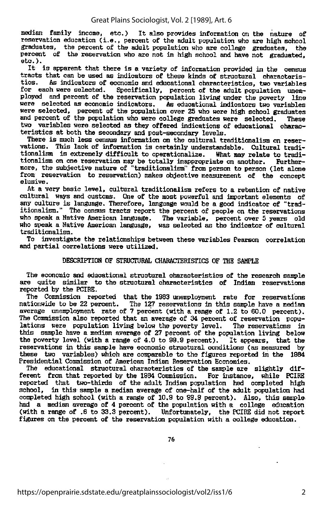median family income, etc.) It also provides information on the nature of reservation education (i.e., percent of the adult population who are high school graduates, the percent of the adult population who are college graduates, the percent of the reservation who are not in high school and have not graduated, etc.).

It is apparent that there is <sup>a</sup> variety of information provided in the census tracts that can be used as indicators of these kinds of structural characteris tics. As indicators of economic and educational characteristics, two variables Specifically, percent of the adult population unemployed and percent of the reservation population living under the poverty line were selected as economic indicators. As educational indicators two variables were selected, percent of the population over 25 who were high school graduates and percent of the population who were college graduates were selected. These two variables were selected as they offered indications of educational charac teristics at both the secondary and post-secondary levels.

There is much less census information on the cultural traditionalism on reser vations. This lack of information is certainly understandable. Cultural traditionalism is extremely difficult to operationalize. What may relate to tradi tionalism on one reservation may be totally inappropriate on another. Further more, the subjective nature of "traditionalism" from person to person (let alone from reservation to reservation) makes objective measurement of the concept elusive.

At a very basic level, cultural traditionalism refers to a retention of native cultural ways and customs. One of the most powerful and important elements of any culture is language. Therefore, language would be a good indicator of "trad itionalism." The census tracts report the percent of people on the reservations who speak a Native American language. The variable, percent over 5 years old who speak a Native American langaage, was selected as the indicator of cultural traditionalism.

To investigate the relationships between these variables Pearson correlation and partial correlations were utilized.

#### DESCRIPTION OF STRUCTURAL CHARACTERISTICS OF THE SAMPLE

The economic and educational structural characteristics of the research sample are quite similar to the structural characteristics of Indian reservations reported by the PCIRE.

The Commission reported that the 1983 unemployment rate for reservations nationwide to be 22 percent. The 127 reservations in this sample have a median average unemployment rate of 7 percent (with a range of 1.2 to 60.0 percent). The Commission also reported that an average of 34 percent of reservation popu-<br>lations were population living below the poverty level. The reservations in lations were population living below the poverty level. this sample have a median average of 27 percent of the population living below the poverty level (with <sup>a</sup> range of 4.0 to 99.9 percent). It appears, that the reservations in this sample have economic structural conditions (as measured by these two variables) which are comparable to the figures reported in the 1984 Presidential Commission of American Indian Reservation Economies.

The educational structural characteristics of the sample are slightly dif-<br>rent from that reported by the 1984 Commission. For instance, while PCIRE ferent from that reported by the 1984 Commission. reported that two-thirds of the adult Indian population had completed high school, in this sample a median average of one-half of the adult population had conpleted high school (with a range of 10.9 to 99.9 percent). Also, this sample had a median average of 4 percent of the population with a college education (with a range of .6 to 33.3 percent). Unfortunately, the PCIRE did not report figures on the percent of the reservation population with a college education.

76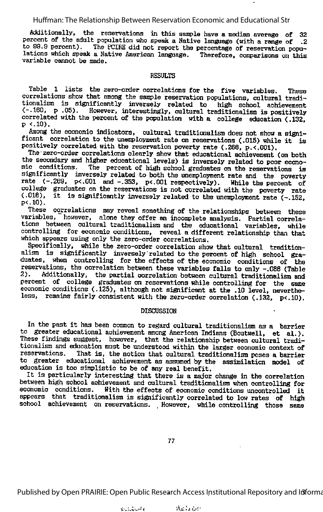#### Huffman: The Relationship Between Reservation Economic and Educational Str

Additionally, the reservations in this sample have a median average of 32 percent of the adult population who speak <sup>a</sup> Native language (with a range of .2 to 99.9 percent). The PCIBE did not report the percentage of reservation popu lations which speak a Native American language. Therefore, comparisons on this variable cannot be made.

#### RESULTS

Table 1 lists the zero-order correlations for the five variables. These correlations show that among the sample reservation populations, cultural tradi tionalism is significantly inversely related to high school achievement  $(-.160, p .05)$ . However, interestingly, cultural traditionalism is positively correlated with the percent of the population with a college education (.132,

p <.10).<br>Among the economic indicators, cultural traditionalism does not show a significant correlation to the unemployment rate on reservations (.015) while it is positively correlated with the reservation poverty rate (.268, p.<.001).

The zero-order correlations clearly show that educational achievement (on both the secondary and higher educational levels) is inversely related to poor economic conditions. The percent of high school graduates on the rese The percent of high school graduates on the reservations is significantly inversely related to both the unemployment rate and the poverty rate (-.289, p<.001 and -.353, p<.001 respectively). While the percent of college graduates on the reservations is not correlated with the poverty rate (.018), it is significantly inversely related to the unemployment rate (-.152,  $p(.10)$ .

These correlations may reveal something of the relationships between these variables, however, alone they offer an incomplete analysis. Partial correla tions between cultural traditionalism and the educational variables, while controlling for economic conditions, reveal a different relationship than that which appears using only the zero-order correlations.

Specifically, while the zero-order correlation show that cultural tradition alism is significantly inversely related to the percent of high school grant duates, when controlling for the effects of the economic conditions of the reservations, the correlation between these variables falls to only -.088 (Table 2). Additionally, the partial correlation between gultural traditionalize and Additionally, the partial correlation between cultural traditionalism and percent of college graduates on reservations while controlling for the same economic conditions (.125), although not significant at the .10 level, neverthe less, remains fairly consistent with the zero-order correlation (.132, p<.10).

#### DISCUSSION

In the past it has been common to regard cultural traditionalism as <sup>a</sup> barrier to greater educational achievement among American Indians (Boutwell, et al.). These findings suggest, however, that the relationship between cultural tradi tionalism and education must be understood within the larger economic context of reservations. That is, the notion that cultural traditionalism poses a barrier That is, the notion that cultural traditionalism poses a barrier to greater educational achievement as assumed by tte assimilation model of education is too simplistic to be of any real benefit.

It is particularly interesting that there is <sup>a</sup> major change in the correlation between high school achievement and cultural traditionalism when controlling for economic conditions. With the effects of economic conditions uncontrolled it appears that traditionalism is significantly correlated to low rates of high school achievement on reservations. However, while controlling those same

77

Published by Open PRAIRIE: Open Public Research Access Institutional Repository and Informa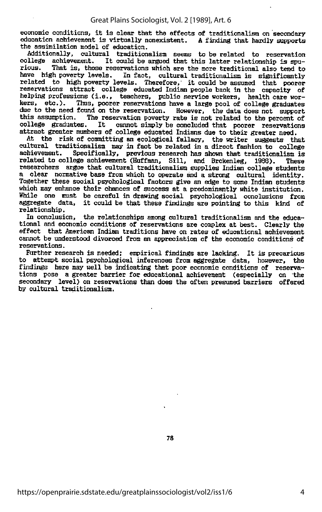economic conditions, it is clear that the effects of traditionalism on secondary education achievement is virtually nonexistent. A finding that hardly supports the assimilation model of education.

Additionally, cultural traditionalism seems to be related to reservation college achievement. It could be argued that this latter relationship is spurious. That is, those reservations which are the more traditional also tend to That is, those reservations which are the more traditional also tend to have high poverty levels. In fact, cultural traditionalism is significantly related to high poverty levels. Therefore, it could be assumed that poorer reservations attract college educated Indian people back in the capacity of helping professions (i.e., teachers, public service workers, health care worhers, etc.). Thus, poorer reservations have a large pool of college graduates due to the need found on the reservation. However, the data does not support this assumption. The reservation poverty rate is not related to the percent of this assumption. The reservation poverty rate is not related to the percent of college graduates. It cannot simply be concluded that poorer reservations cannot simply be concluded that poorer reservations attract greater numbers of college educated Indians due to their greater need.

At the risk of committing an ecological fallacy, the writer suggests that cultural traditionalism may in fact be related in a direct fashion to college achievement. Specifically, previous research has shown that traditionalism is related to college achievement (Huffman, Sill, and Brokenleg, 1988). These researchers argue that cultural traditionalism supplies Indian college students a clear normative base from which to operate and a strong cultural identity.<br>Together these social psychological factors give an edge to some Indian students which may enhance their chances of success at a predominantly white institution. While one must be careful in drawing social psychological conclusions from aggregate data, it could be that these findings are pointing to this kind of relationship.

In conclusion, the relationships among cultural traditionalism and the educational and economic conditions of reservations are complex at best. Clearly the effect that American Indian traditions have on rates of educational achievement cannot be understood divorced from an appreciation of the economic conditions of reservations.

Further research is needed; empirical findings are lacking. It is precarious<br>In attempt social psychological inferences from aggregate data, however, the to attempt social psychological inferences from aggregate data, however, findings here may well be indicating that poor economic conditions of reserva tions pose a greater barrier for educational achievement (especially on the secondary level) on reservations than does the often presumed barriers offered by cultural traditionalism.

78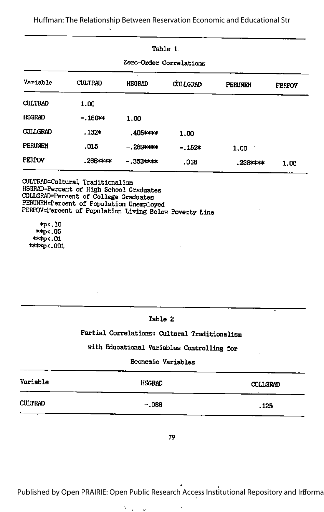Huffman: The Relationship Between Reservation Economic and Educational Str

| Table 1<br>Zero-Order Correlations |                  |                  |          |              |      |  |
|------------------------------------|------------------|------------------|----------|--------------|------|--|
|                                    |                  |                  |          |              |      |  |
| <b>CULTRAD</b>                     | 1.00             |                  |          |              |      |  |
| <b>HSGRAD</b>                      | $-160$ $\approx$ | 1.00             |          |              |      |  |
| <b>COLLGRAD</b>                    | $.132*$          | .405 kokok       | 1.00     |              |      |  |
| PERUNEM                            | .015             | $-289$ pppp      | $-.152*$ | 1.00         |      |  |
| Perpoy                             | .2684x4x         | $-0.353$ objects | .018     | $238$ or $*$ | 1.00 |  |

CULTRAD=Cultural Traditionalism HSGBAD=P8rcent of High School Graduates COLLGRAD=Percent of College Graduates<br>PERUNEM=Percent of Population Unemployed PERPOV=Percent of Population Living Below Poverty Line

 $\bar{\rm b}$ 

\*P<.iO \*\*p<. 05  $*$ \*\* $p$  < .01  $*$  $*$  $*$ p $*$ .001

### Table 2

### Partial Correlations: Cultural Traditionalism

## with Educational Variables Controlling for

### Economic Variables

| Variable       | <b>HSGRAD</b> | <b>COLLGRAD</b> |
|----------------|---------------|-----------------|
| <b>CULTRAD</b> | $-.086$       | .125            |

79

Published by Open PRAIRIE: Open Public Research Access Institutional Repository and Infforma

¥

 $\mathbf{a} = \mathbf{a} \cdot \mathbf{a}$  ,  $\mathbf{a} = \mathbf{a} \cdot \mathbf{a}$